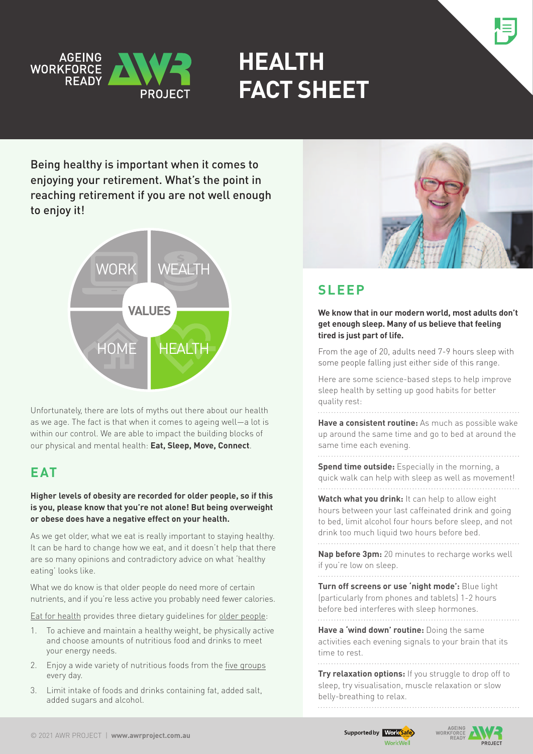

# **HEALTH FACT SHEET**

Being healthy is important when it comes to enjoying your retirement. What's the point in reaching retirement if you are not well enough to enjoy it!



Unfortunately, there are lots of myths out there about our health as we age. The fact is that when it comes to ageing well—a lot is within our control. We are able to impact the building blocks of our physical and mental health: **Eat, Sleep, Move, Connect**.

### **EAT**

**Higher levels of obesity are recorded for older people, so if this is you, please know that you're not alone! But being overweight or obese does have a negative effect on your health.** 

As we get older, what we eat is really important to staying healthy. It can be hard to change how we eat, and it doesn't help that there are so many opinions and contradictory advice on what 'healthy eating' looks like.

What we do know is that older people do need more of certain nutrients, and if you're less active you probably need fewer calories.

[Eat for health](https://www.eatforhealth.gov.au/) provides three dietary guidelines for [older people:](https://www.eatforhealth.gov.au/eating-well/healthy-eating-throughout-all-life/healthy-eating-when-you�re-older)

- 1. To achieve and maintain a healthy weight, be physically active and choose amounts of nutritious food and drinks to meet your energy needs.
- 2. Enjoy a wide variety of nutritious foods from the [five groups](https://www.eatforhealth.gov.au/food-essentials/five-food-groups) every day.
- 3. Limit intake of foods and drinks containing fat, added salt, added sugars and alcohol.



### **SIFFP**

**We know that in our modern world, most adults don't get enough sleep. Many of us believe that feeling tired is just part of life.** 

From the age of 20, adults need 7-9 hours sleep with some people falling just either side of this range.

Here are some science-based steps to help improve sleep health by setting up good habits for better quality rest:

. . . . . . .

**Have a consistent routine:** As much as possible wake up around the same time and go to bed at around the same time each evening.

**Spend time outside:** Especially in the morning, a quick walk can help with sleep as well as movement! 

**Watch what you drink:** It can help to allow eight hours between your last caffeinated drink and going to bed, limit alcohol four hours before sleep, and not drink too much liquid two hours before bed. 

**Nap before 3pm:** 20 minutes to recharge works well if you're low on sleep.

**Turn off screens or use 'night mode':** Blue light (particularly from phones and tablets) 1-2 hours before bed interferes with sleep hormones. 

**Have a 'wind down' routine:** Doing the same activities each evening signals to your brain that its time to rest.

**Try relaxation options:** If you struggle to drop off to sleep, try visualisation, muscle relaxation or slow belly-breathing to relax.



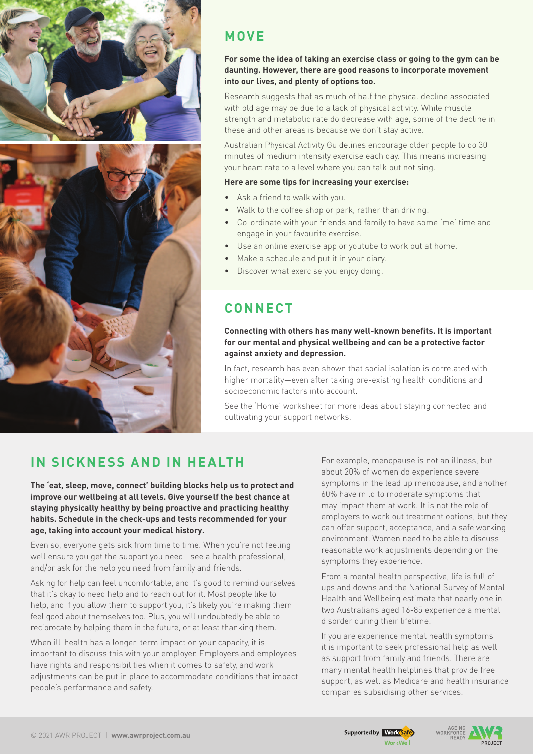

### **Move**

#### **For some the idea of taking an exercise class or going to the gym can be daunting. However, there are good reasons to incorporate movement into our lives, and plenty of options too.**

Research suggests that as much of half the physical decline associated with old age may be due to a lack of physical activity. While muscle strength and metabolic rate do decrease with age, some of the decline in these and other areas is because we don't stay active.

Australian Physical Activity Guidelines encourage older people to do 30 minutes of medium intensity exercise each day. This means increasing your heart rate to a level where you can talk but not sing.

#### **Here are some tips for increasing your exercise:**

- Ask a friend to walk with you.
- Walk to the coffee shop or park, rather than driving.
- • Co-ordinate with your friends and family to have some 'me' time and engage in your favourite exercise.
- Use an online exercise app or youtube to work out at home.
- Make a schedule and put it in your diary.
- Discover what exercise you enjoy doing.

### **CONNECT**

#### **Connecting with others has many well-known benefits. It is important for our mental and physical wellbeing and can be a protective factor against anxiety and depression.**

In fact, research has even shown that social isolation is correlated with higher mortality—even after taking pre-existing health conditions and socioeconomic factors into account.

See the 'Home' worksheet for more ideas about staying connected and cultivating your support networks.

### **In sickness and in health**

**The 'eat, sleep, move, connect' building blocks help us to protect and improve our wellbeing at all levels. Give yourself the best chance at staying physically healthy by being proactive and practicing healthy habits. Schedule in the check-ups and tests recommended for your age, taking into account your medical history.** 

Even so, everyone gets sick from time to time. When you're not feeling well ensure you get the support you need—see a health professional, and/or ask for the help you need from family and friends.

Asking for help can feel uncomfortable, and it's good to remind ourselves that it's okay to need help and to reach out for it. Most people like to help, and if you allow them to support you, it's likely you're making them feel good about themselves too. Plus, you will undoubtedly be able to reciprocate by helping them in the future, or at least thanking them.

When ill-health has a longer-term impact on your capacity, it is important to discuss this with your employer. Employers and employees have rights and responsibilities when it comes to safety, and work adjustments can be put in place to accommodate conditions that impact people's performance and safety.

For example, menopause is not an illness, but about 20% of women do experience severe symptoms in the lead up menopause, and another 60% have mild to moderate symptoms that may impact them at work. It is not the role of employers to work out treatment options, but they can offer support, acceptance, and a safe working environment. Women need to be able to discuss reasonable work adjustments depending on the symptoms they experience.

From a mental health perspective, life is full of ups and downs and the National Survey of Mental Health and Wellbeing estimate that nearly one in two Australians aged 16-85 experience a mental disorder during their lifetime.

If you are experience mental health symptoms it is important to seek professional help as well as support from family and friends. There are many [mental health helplines](https://www.healthdirect.gov.au/mental-health-helplines) that provide free support, as well as Medicare and health insurance companies subsidising other services.